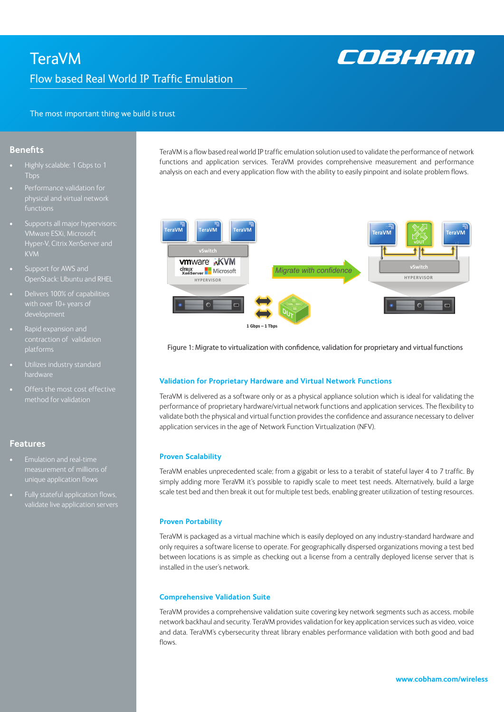# **TeraVM** Flow based Real World IP Traffic Emulation



The most important thing we build is trust

# **Benefits**

- Highly scalable: 1 Gbps to 1 Tbps
- Performance validation for physical and virtual network
- KVM
- Support for AWS and OpenStack: Ubuntu and RHEL
- Delivers 100% of capabilities
- contraction of validation platforms
- hardware
- Offers the most cost effective

# **Features**

- Emulation and real-time
- Fully stateful application flows, validate live application servers

TeraVM is a flow based real world IP traffic emulation solution used to validate the performance of network functions and application services. TeraVM provides comprehensive measurement and performance analysis on each and every application flow with the ability to easily pinpoint and isolate problem flows.



Figure 1: Migrate to virtualization with confidence, validation for proprietary and virtual functions

# **Validation for Proprietary Hardware and Virtual Network Functions**

TeraVM is delivered as a software only or as a physical appliance solution which is ideal for validating the performance of proprietary hardware/virtual network functions and application services. The flexibility to validate both the physical and virtual function provides the confidence and assurance necessary to deliver application services in the age of Network Function Virtualization (NFV).

#### **Proven Scalability**

TeraVM enables unprecedented scale; from a gigabit or less to a terabit of stateful layer 4 to 7 traffic. By simply adding more TeraVM it's possible to rapidly scale to meet test needs. Alternatively, build a large scale test bed and then break it out for multiple test beds, enabling greater utilization of testing resources.

#### **Proven Portability**

TeraVM is packaged as a virtual machine which is easily deployed on any industry-standard hardware and only requires a software license to operate. For geographically dispersed organizations moving a test bed between locations is as simple as checking out a license from a centrally deployed license server that is installed in the user's network.

#### **Comprehensive Validation Suite**

TeraVM provides a comprehensive validation suite covering key network segments such as access, mobile network backhaul and security. TeraVM provides validation for key application services such as video, voice and data. TeraVM's cybersecurity threat library enables performance validation with both good and bad flows.